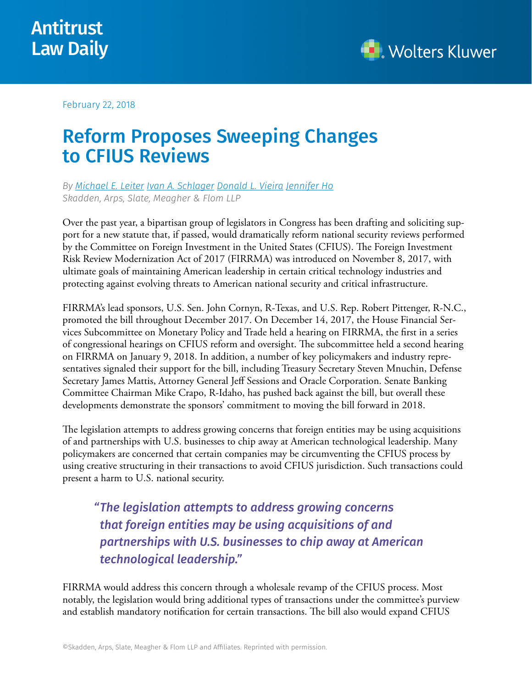



February 22, 2018

## Reform Proposes Sweeping Changes to CFIUS Reviews

*By [Michael E. Leiter](https://www.skadden.com/professionals/l/leiter-michael-e) [Ivan A. Schlager](https://www.skadden.com/professionals/s/schlager-ivan-a) [Donald L. Vieira](https://www.skadden.com/professionals/v/vieira-donald-l) [Jennifer Ho](https://www.skadden.com/professionals/h/ho-jennifer) Skadden, Arps, Slate, Meagher & Flom LLP*

Over the past year, a bipartisan group of legislators in Congress has been drafting and soliciting support for a new statute that, if passed, would dramatically reform national security reviews performed by the Committee on Foreign Investment in the United States (CFIUS). The Foreign Investment Risk Review Modernization Act of 2017 (FIRRMA) was introduced on November 8, 2017, with ultimate goals of maintaining American leadership in certain critical technology industries and protecting against evolving threats to American national security and critical infrastructure.

FIRRMA's lead sponsors, U.S. Sen. John Cornyn, R-Texas, and U.S. Rep. Robert Pittenger, R-N.C., promoted the bill throughout December 2017. On December 14, 2017, the House Financial Services Subcommittee on Monetary Policy and Trade held a hearing on FIRRMA, the first in a series of congressional hearings on CFIUS reform and oversight. The subcommittee held a second hearing on FIRRMA on January 9, 2018. In addition, a number of key policymakers and industry representatives signaled their support for the bill, including Treasury Secretary Steven Mnuchin, Defense Secretary James Mattis, Attorney General Jeff Sessions and Oracle Corporation. Senate Banking Committee Chairman Mike Crapo, R-Idaho, has pushed back against the bill, but overall these developments demonstrate the sponsors' commitment to moving the bill forward in 2018.

The legislation attempts to address growing concerns that foreign entities may be using acquisitions of and partnerships with U.S. businesses to chip away at American technological leadership. Many policymakers are concerned that certain companies may be circumventing the CFIUS process by using creative structuring in their transactions to avoid CFIUS jurisdiction. Such transactions could present a harm to U.S. national security.

*"The legislation attempts to address growing concerns that foreign entities may be using acquisitions of and partnerships with U.S. businesses to chip away at American technological leadership."*

FIRRMA would address this concern through a wholesale revamp of the CFIUS process. Most notably, the legislation would bring additional types of transactions under the committee's purview and establish mandatory notification for certain transactions. The bill also would expand CFIUS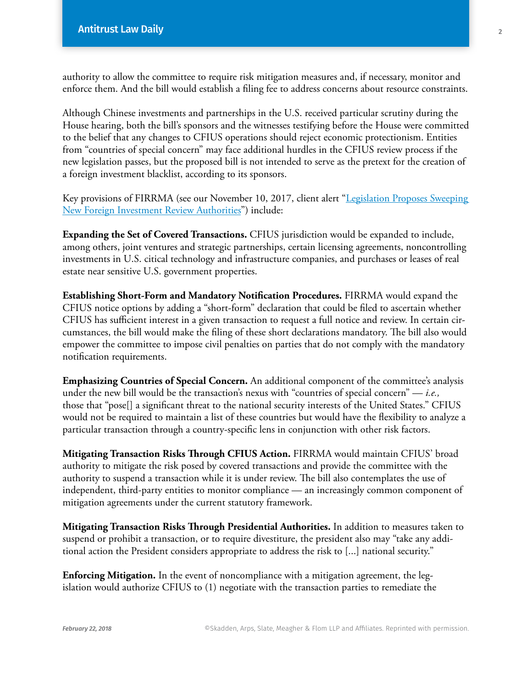authority to allow the committee to require risk mitigation measures and, if necessary, monitor and enforce them. And the bill would establish a filing fee to address concerns about resource constraints.

Although Chinese investments and partnerships in the U.S. received particular scrutiny during the House hearing, both the bill's sponsors and the witnesses testifying before the House were committed to the belief that any changes to CFIUS operations should reject economic protectionism. Entities from "countries of special concern" may face additional hurdles in the CFIUS review process if the new legislation passes, but the proposed bill is not intended to serve as the pretext for the creation of a foreign investment blacklist, according to its sponsors.

Key provisions of FIRRMA (see our November 10, 2017, client alert ["Legislation Proposes Sweeping](https://www.skadden.com/insights/publications/2017/11/legislation_proposes_sweeping_new-foreign)  [New Foreign Investment Review Authorities](https://www.skadden.com/insights/publications/2017/11/legislation_proposes_sweeping_new-foreign)") include:

**Expanding the Set of Covered Transactions.** CFIUS jurisdiction would be expanded to include, among others, joint ventures and strategic partnerships, certain licensing agreements, noncontrolling investments in U.S. citical technology and infrastructure companies, and purchases or leases of real estate near sensitive U.S. government properties.

**Establishing Short-Form and Mandatory Notification Procedures.** FIRRMA would expand the CFIUS notice options by adding a "short-form" declaration that could be filed to ascertain whether CFIUS has sufficient interest in a given transaction to request a full notice and review. In certain circumstances, the bill would make the filing of these short declarations mandatory. The bill also would empower the committee to impose civil penalties on parties that do not comply with the mandatory notification requirements.

**Emphasizing Countries of Special Concern.** An additional component of the committee's analysis under the new bill would be the transaction's nexus with "countries of special concern" — *i.e.,*  those that "pose[] a significant threat to the national security interests of the United States." CFIUS would not be required to maintain a list of these countries but would have the flexibility to analyze a particular transaction through a country-specific lens in conjunction with other risk factors.

**Mitigating Transaction Risks Through CFIUS Action.** FIRRMA would maintain CFIUS' broad authority to mitigate the risk posed by covered transactions and provide the committee with the authority to suspend a transaction while it is under review. The bill also contemplates the use of independent, third-party entities to monitor compliance — an increasingly common component of mitigation agreements under the current statutory framework.

**Mitigating Transaction Risks Through Presidential Authorities.** In addition to measures taken to suspend or prohibit a transaction, or to require divestiture, the president also may "take any additional action the President considers appropriate to address the risk to [...] national security."

**Enforcing Mitigation.** In the event of noncompliance with a mitigation agreement, the legislation would authorize CFIUS to (1) negotiate with the transaction parties to remediate the 2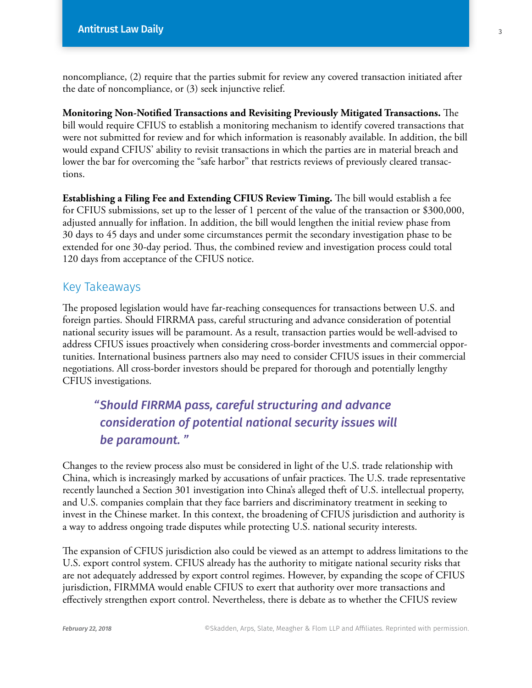noncompliance, (2) require that the parties submit for review any covered transaction initiated after the date of noncompliance, or (3) seek injunctive relief.

**Monitoring Non-Notified Transactions and Revisiting Previously Mitigated Transactions.** The bill would require CFIUS to establish a monitoring mechanism to identify covered transactions that were not submitted for review and for which information is reasonably available. In addition, the bill would expand CFIUS' ability to revisit transactions in which the parties are in material breach and lower the bar for overcoming the "safe harbor" that restricts reviews of previously cleared transactions.

**Establishing a Filing Fee and Extending CFIUS Review Timing.** The bill would establish a fee for CFIUS submissions, set up to the lesser of 1 percent of the value of the transaction or \$300,000, adjusted annually for inflation. In addition, the bill would lengthen the initial review phase from 30 days to 45 days and under some circumstances permit the secondary investigation phase to be extended for one 30-day period. Thus, the combined review and investigation process could total 120 days from acceptance of the CFIUS notice.

## Key Takeaways

The proposed legislation would have far-reaching consequences for transactions between U.S. and foreign parties. Should FIRRMA pass, careful structuring and advance consideration of potential national security issues will be paramount. As a result, transaction parties would be well-advised to address CFIUS issues proactively when considering cross-border investments and commercial opportunities. International business partners also may need to consider CFIUS issues in their commercial negotiations. All cross-border investors should be prepared for thorough and potentially lengthy CFIUS investigations.

## *"Should FIRRMA pass, careful structuring and advance consideration of potential national security issues will be paramount. "*

Changes to the review process also must be considered in light of the U.S. trade relationship with China, which is increasingly marked by accusations of unfair practices. The U.S. trade representative recently launched a Section 301 investigation into China's alleged theft of U.S. intellectual property, and U.S. companies complain that they face barriers and discriminatory treatment in seeking to invest in the Chinese market. In this context, the broadening of CFIUS jurisdiction and authority is a way to address ongoing trade disputes while protecting U.S. national security interests.

The expansion of CFIUS jurisdiction also could be viewed as an attempt to address limitations to the U.S. export control system. CFIUS already has the authority to mitigate national security risks that are not adequately addressed by export control regimes. However, by expanding the scope of CFIUS jurisdiction, FIRMMA would enable CFIUS to exert that authority over more transactions and effectively strengthen export control. Nevertheless, there is debate as to whether the CFIUS review